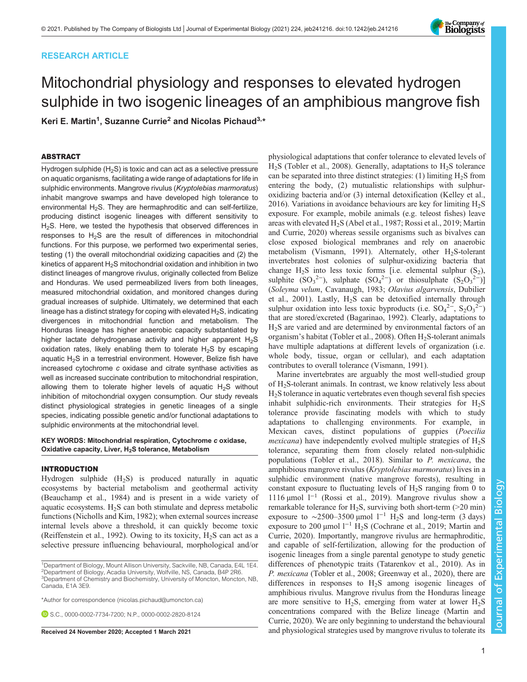# RESEARCH ARTICLE

# Mitochondrial physiology and responses to elevated hydrogen sulphide in two isogenic lineages of an amphibious mangrove fish

Keri E. Martin<sup>1</sup>, Suzanne Currie<sup>2</sup> and Nicolas Pichaud<sup>3,</sup>\*

## ABSTRACT

Hydrogen sulphide  $(H_2S)$  is toxic and can act as a selective pressure on aquatic organisms, facilitating a wide range of adaptations for life in sulphidic environments. Mangrove rivulus (Kryptolebias marmoratus) inhabit mangrove swamps and have developed high tolerance to environmental  $H_2S$ . They are hermaphroditic and can self-fertilize, producing distinct isogenic lineages with different sensitivity to H2S. Here, we tested the hypothesis that observed differences in responses to  $H_2S$  are the result of differences in mitochondrial functions. For this purpose, we performed two experimental series, testing (1) the overall mitochondrial oxidizing capacities and (2) the kinetics of apparent  $H_2S$  mitochondrial oxidation and inhibition in two distinct lineages of mangrove rivulus, originally collected from Belize and Honduras. We used permeabilized livers from both lineages, measured mitochondrial oxidation, and monitored changes during gradual increases of sulphide. Ultimately, we determined that each lineage has a distinct strategy for coping with elevated  $H_2S$ , indicating divergences in mitochondrial function and metabolism. The Honduras lineage has higher anaerobic capacity substantiated by higher lactate dehydrogenase activity and higher apparent  $H_2S$ oxidation rates, likely enabling them to tolerate  $H_2S$  by escaping aquatic  $H_2S$  in a terrestrial environment. However, Belize fish have increased cytochrome c oxidase and citrate synthase activities as well as increased succinate contribution to mitochondrial respiration, allowing them to tolerate higher levels of aquatic  $H_2S$  without inhibition of mitochondrial oxygen consumption. Our study reveals distinct physiological strategies in genetic lineages of a single species, indicating possible genetic and/or functional adaptations to sulphidic environments at the mitochondrial level.

KEY WORDS: Mitochondrial respiration, Cytochrome c oxidase, Oxidative capacity, Liver, H2S tolerance, Metabolism

## INTRODUCTION

Hydrogen sulphide  $(H_2S)$  is produced naturally in aquatic ecosystems by bacterial metabolism and geothermal activity [\(Beauchamp et al., 1984\)](#page-8-0) and is present in a wide variety of aquatic ecosystems.  $H_2S$  can both stimulate and depress metabolic functions [\(Nicholls and Kim, 1982\)](#page-8-0); when external sources increase internal levels above a threshold, it can quickly become toxic [\(Reiffenstein et al., 1992\)](#page-9-0). Owing to its toxicity,  $H_2S$  can act as a selective pressure influencing behavioural, morphological and/or

<sup>1</sup>Department of Biology, Mount Allison University, Sackville, NB, Canada, E4L 1E4. <sup>2</sup>Department of Biology, Acadia University, Wolfville, NS, Canada, B4P 2R6. <sup>3</sup>Department of Chemistry and Biochemistry, University of Moncton, Moncton, NB,

Canada, E1A 3E9.

\*Author for correspondence [\(nicolas.pichaud@umoncton.ca\)](mailto:nicolas.pichaud@umoncton.ca)

**D.S.C., [0000-0002-7734-7200;](http://orcid.org/0000-0002-7734-7200) N.P., [0000-0002-2820-8124](http://orcid.org/0000-0002-2820-8124)** 

physiological adaptations that confer tolerance to elevated levels of  $H<sub>2</sub>S$  ([Tobler et al., 2008\)](#page-9-0). Generally, adaptations to  $H<sub>2</sub>S$  tolerance can be separated into three distinct strategies: (1) limiting  $H_2S$  from entering the body, (2) mutualistic relationships with sulphuroxidizing bacteria and/or (3) internal detoxification ([Kelley et al.,](#page-8-0) [2016\)](#page-8-0). Variations in avoidance behaviours are key for limiting  $H_2S$ exposure. For example, mobile animals (e.g. teleost fishes) leave areas with elevated H<sub>2</sub>S ([Abel et al., 1987](#page-8-0); [Rossi et al., 2019](#page-9-0); [Martin](#page-8-0) [and Currie, 2020\)](#page-8-0) whereas sessile organisms such as bivalves can close exposed biological membranes and rely on anaerobic metabolism ([Vismann, 1991\)](#page-9-0). Alternately, other  $H_2S$ -tolerant invertebrates host colonies of sulphur-oxidizing bacteria that change  $H_2S$  into less toxic forms [i.e. elemental sulphur  $(S_2)$ , sulphite  $(SO_3^2$ <sup>2</sup>), sulphate  $(SO_4^2$ <sup>2</sup>) or thiosulphate  $(S_2O_3^2$ <sup>2</sup>)] (Soleyma velum, [Cavanaugh, 1983](#page-8-0); Olavius algarvensis, [Dubilier](#page-8-0) [et al., 2001\)](#page-8-0). Lastly, H2S can be detoxified internally through sulphur oxidation into less toxic byproducts (i.e.  $SO_4^{2-}$ ,  $S_2O_3^{2-}$ ) that are stored/excreted [\(Bagarinao, 1992](#page-8-0)). Clearly, adaptations to H2S are varied and are determined by environmental factors of an organism's habitat ([Tobler et al., 2008\)](#page-9-0). Often  $H_2S$ -tolerant animals have multiple adaptations at different levels of organization (i.e. whole body, tissue, organ or cellular), and each adaptation contributes to overall tolerance [\(Vismann, 1991](#page-9-0)).

Marine invertebrates are arguably the most well-studied group of H2S-tolerant animals. In contrast, we know relatively less about  $H<sub>2</sub>S$  tolerance in aquatic vertebrates even though several fish species inhabit sulphidic-rich environments. Their strategies for H<sub>2</sub>S tolerance provide fascinating models with which to study adaptations to challenging environments. For example, in Mexican caves, distinct populations of guppies (Poecilia *mexicana*) have independently evolved multiple strategies of  $H_2S$ tolerance, separating them from closely related non-sulphidic populations ([Tobler et al., 2018](#page-9-0)). Similar to P. mexicana, the amphibious mangrove rivulus (Kryptolebias marmoratus) lives in a sulphidic environment (native mangrove forests), resulting in constant exposure to fluctuating levels of  $H_2S$  ranging from 0 to 1116 µmol l−<sup>1</sup> ([Rossi et al., 2019](#page-9-0)). Mangrove rivulus show a remarkable tolerance for H2S, surviving both short-term (>20 min) exposure to ~2500–3500 µmol  $1^{-1}$  H<sub>2</sub>S and long-term (3 days) exposure to 200 μmol l<sup>-1</sup> H<sub>2</sub>S ([Cochrane et al., 2019](#page-8-0); [Martin and](#page-8-0) [Currie, 2020\)](#page-8-0). Importantly, mangrove rivulus are hermaphroditic, and capable of self-fertilization, allowing for the production of isogenic lineages from a single parental genotype to study genetic differences of phenotypic traits [\(Tatarenkov et al., 2010\)](#page-9-0). As in P. mexicana [\(Tobler et al., 2008](#page-9-0); [Greenway et al., 2020](#page-8-0)), there are differences in responses to  $H_2S$  among isogenic lineages of amphibious rivulus. Mangrove rivulus from the Honduras lineage are more sensitive to  $H_2S$ , emerging from water at lower  $H_2S$ concentrations compared with the Belize lineage [\(Martin and](#page-8-0) [Currie, 2020](#page-8-0)). We are only beginning to understand the behavioural Received 24 November 2020; Accepted 1 March 2021 and physiological strategies used by mangrove rivulus to tolerate its

Journal of Experimental Biology

Journal of

Experimental Biology

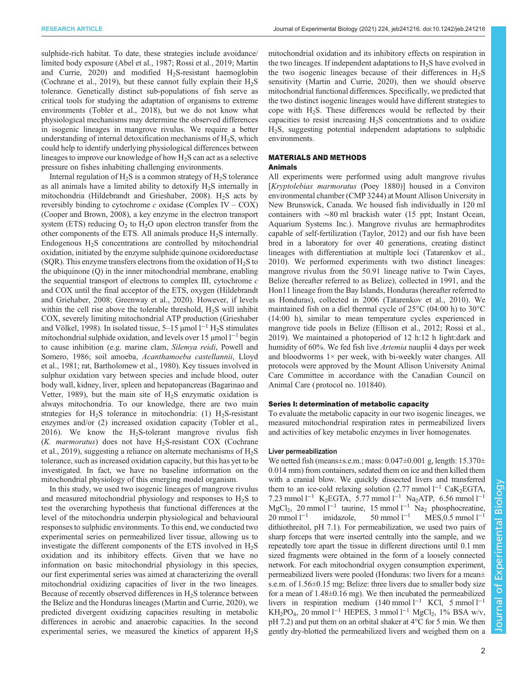sulphide-rich habitat. To date, these strategies include avoidance/ limited body exposure [\(Abel et al., 1987;](#page-8-0) [Rossi et al., 2019;](#page-9-0) [Martin](#page-8-0) and Currie,  $2020$  and modified H<sub>2</sub>S-resistant haemoglobin [\(Cochrane et al., 2019\)](#page-8-0), but these cannot fully explain their  $H_2S$ tolerance. Genetically distinct sub-populations of fish serve as critical tools for studying the adaptation of organisms to extreme environments ([Tobler et al., 2018\)](#page-9-0), but we do not know what physiological mechanisms may determine the observed differences in isogenic lineages in mangrove rivulus. We require a better understanding of internal detoxification mechanisms of  $H_2S$ , which could help to identify underlying physiological differences between lineages to improve our knowledge of how  $H_2S$  can act as a selective pressure on fishes inhabiting challenging environments.

Internal regulation of  $H_2S$  is a common strategy of  $H_2S$  tolerance as all animals have a limited ability to detoxify  $H<sub>2</sub>S$  internally in mitochondria ([Hildebrandt and Grieshaber, 2008](#page-8-0)).  $H_2S$  acts by reversibly binding to cytochrome  $c$  oxidase (Complex IV – COX) [\(Cooper and Brown, 2008](#page-8-0)), a key enzyme in the electron transport system (ETS) reducing  $O_2$  to  $H_2O$  upon electron transfer from the other components of the ETS. All animals produce  $H_2S$  internally. Endogenous  $H<sub>2</sub>S$  concentrations are controlled by mitochondrial oxidation, initiated by the enzyme sulphide:quinone oxidoreductase (SQR). This enzyme transfers electrons from the oxidation of  $H_2S$  to the ubiquinone (Q) in the inner mitochondrial membrane, enabling the sequential transport of electrons to complex III, cytochrome c and COX until the final acceptor of the ETS, oxygen [\(Hildebrandt](#page-8-0) [and Griehaber, 2008; Greenway et al., 2020\)](#page-8-0). However, if levels within the cell rise above the tolerable threshold,  $H_2S$  will inhibit COX, severely limiting mitochondrial ATP production ([Grieshaber](#page-8-0) [and Völkel, 1998\)](#page-8-0). In isolated tissue,  $5-15 \mu$ mol  $1^{-1}$  H<sub>2</sub>S stimulates mitochondrial sulphide oxidation, and levels over 15 µmol l−<sup>1</sup> begin to cause inhibition (e.g. marine clam, Silemya reidi, [Powell and](#page-9-0) [Somero, 1986](#page-9-0); soil amoeba, Acanthamoeba castellannii, [Lloyd](#page-8-0) [et al., 1981;](#page-8-0) rat, [Bartholomew et al., 1980](#page-8-0)). Key tissues involved in sulphur oxidation vary between species and include blood, outer body wall, kidney, liver, spleen and hepatopancreas [\(Bagarinao and](#page-8-0) [Vetter, 1989\)](#page-8-0), but the main site of  $H<sub>2</sub>S$  enzymatic oxidation is always mitochondria. To our knowledge, there are two main strategies for  $H_2S$  tolerance in mitochondria: (1)  $H_2S$ -resistant enzymes and/or (2) increased oxidation capacity [\(Tobler et al.,](#page-9-0) [2016](#page-9-0)). We know the  $H_2S$ -tolerant mangrove rivulus fish  $(K.$  marmoratus) does not have H<sub>2</sub>S-resistant COX [\(Cochrane](#page-8-0) [et al., 2019\)](#page-8-0), suggesting a reliance on alternate mechanisms of  $H_2S$ tolerance, such as increased oxidation capacity, but this has yet to be investigated. In fact, we have no baseline information on the mitochondrial physiology of this emerging model organism.

In this study, we used two isogenic lineages of mangrove rivulus and measured mitochondrial physiology and responses to  $H_2S$  to test the overarching hypothesis that functional differences at the level of the mitochondria underpin physiological and behavioural responses to sulphidic environments. To this end, we conducted two experimental series on permeabilized liver tissue, allowing us to investigate the different components of the ETS involved in  $H<sub>2</sub>S$ oxidation and its inhibitory effects. Given that we have no information on basic mitochondrial physiology in this species, our first experimental series was aimed at characterizing the overall mitochondrial oxidizing capacities of liver in the two lineages. Because of recently observed differences in  $H<sub>2</sub>S$  tolerance between the Belize and the Honduras lineages [\(Martin and Currie, 2020\)](#page-8-0), we predicted divergent oxidizing capacities resulting in metabolic differences in aerobic and anaerobic capacities. In the second experimental series, we measured the kinetics of apparent  $H_2S$ 

mitochondrial oxidation and its inhibitory effects on respiration in the two lineages. If independent adaptations to  $H_2S$  have evolved in the two isogenic lineages because of their differences in  $H_2S$ sensitivity ([Martin and Currie, 2020\)](#page-8-0), then we should observe mitochondrial functional differences. Specifically, we predicted that the two distinct isogenic lineages would have different strategies to cope with  $H_2S$ . These differences would be reflected by their capacities to resist increasing  $H_2S$  concentrations and to oxidize H2S, suggesting potential independent adaptations to sulphidic environments.

# MATERIALS AND METHODS

#### Animals

All experiments were performed using adult mangrove rivulus [Kryptolebias marmoratus (Poey 1880)] housed in a Conviron environmental chamber (CMP 3244) at Mount Allison University in New Brunswick, Canada. We housed fish individually in 120 ml containers with ∼80 ml brackish water (15 ppt; Instant Ocean, Aquarium Systems Inc.). Mangrove rivulus are hermaphrodites capable of self-fertilization ([Taylor, 2012\)](#page-9-0) and our fish have been bred in a laboratory for over 40 generations, creating distinct lineages with differentiation at multiple loci [\(Tatarenkov et al.,](#page-9-0) [2010\)](#page-9-0). We performed experiments with two distinct lineages: mangrove rivulus from the 50.91 lineage native to Twin Cayes, Belize (hereafter referred to as Belize), collected in 1991, and the Hon11 lineage from the Bay Islands, Honduras (hereafter referred to as Honduras), collected in 2006 [\(Tatarenkov et al., 2010](#page-9-0)). We maintained fish on a diel thermal cycle of 25°C (04:00 h) to 30°C (14:00 h), similar to mean temperature cycles experienced in mangrove tide pools in Belize [\(Ellison et al., 2012](#page-8-0); [Rossi et al.,](#page-9-0) [2019\)](#page-9-0). We maintained a photoperiod of 12 h:12 h light:dark and humidity of 60%. We fed fish live *Artemia* nauplii 4 days per week and bloodworms  $1 \times$  per week, with bi-weekly water changes. All protocols were approved by the Mount Allison University Animal Care Committee in accordance with the Canadian Council on Animal Care ( protocol no. 101840).

#### Series I: determination of metabolic capacity

To evaluate the metabolic capacity in our two isogenic lineages, we measured mitochondrial respiration rates in permeabilized livers and activities of key metabolic enzymes in liver homogenates.

#### Liver permeabilization

We netted fish (means $\pm$ s.e.m.; mass: 0.047 $\pm$ 0.001 g, length: 15.370 $\pm$ 0.014 mm) from containers, sedated them on ice and then killed them with a cranial blow. We quickly dissected livers and transferred them to an ice-cold relaxing solution (2.77 mmol l<sup>-1</sup> CaK<sub>2</sub>EGTA, 7.23 mmol l<sup>−1</sup> K<sub>2</sub>EGTA, 5.77 mmol l<sup>−1</sup> Na<sub>2</sub>ATP, 6.56 mmol l<sup>−1</sup> MgCl<sub>2</sub>, 20 mmol l<sup>−1</sup> taurine, 15 mmol l<sup>−1</sup> Na<sub>2</sub> phosphocreatine,<br>20 mmol l<sup>−1</sup> imidazole, 50 mmol l<sup>−1</sup> MES,0.5 mmol l<sup>−1</sup> imidazole, 50 mmol l<sup>-1</sup> MES,0.5 mmol l<sup>-1</sup> dithiothreitol, pH 7.1). For permeabilization, we used two pairs of sharp forceps that were inserted centrally into the sample, and we repeatedly tore apart the tissue in different directions until 0.1 mm sized fragments were obtained in the form of a loosely connected network. For each mitochondrial oxygen consumption experiment, permeabilized livers were pooled (Honduras: two livers for a mean± s.e.m. of 1.56±0.15 mg; Belize: three livers due to smaller body size for a mean of 1.48±0.16 mg). We then incubated the permeabilized livers in respiration medium (140 mmol l−<sup>1</sup> KCl, 5 mmol l−<sup>1</sup> KH<sub>2</sub>PO<sub>4</sub>, 20 mmol l<sup>−1</sup> HEPES, 3 mmol l<sup>−1</sup> MgCl<sub>2</sub>, 1% BSA w/v, pH 7.2) and put them on an orbital shaker at 4°C for 5 min. We then gently dry-blotted the permeabilized livers and weighed them on a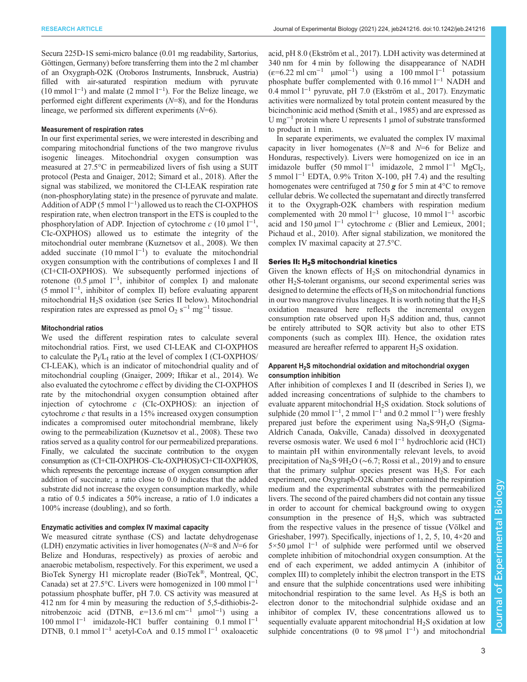Secura 225D-1S semi-micro balance (0.01 mg readability, Sartorius, Göttingen, Germany) before transferring them into the 2 ml chamber of an Oxygraph-O2K (Oroboros Instruments, Innsbruck, Austria) filled with air-saturated respiration medium with pyruvate (10 mmol l−<sup>1</sup> ) and malate (2 mmol l−<sup>1</sup> ). For the Belize lineage, we performed eight different experiments  $(N=8)$ , and for the Honduras lineage, we performed six different experiments  $(N=6)$ .

#### Measurement of respiration rates

In our first experimental series, we were interested in describing and comparing mitochondrial functions of the two mangrove rivulus isogenic lineages. Mitochondrial oxygen consumption was measured at 27.5°C in permeabilized livers of fish using a SUIT protocol [\(Pesta and Gnaiger, 2012;](#page-8-0) [Simard et al., 2018](#page-9-0)). After the signal was stabilized, we monitored the CI-LEAK respiration rate (non-phosphorylating state) in the presence of pyruvate and malate. Addition of ADP (5 mmol l−<sup>1</sup> ) allowed us to reach the CI-OXPHOS respiration rate, when electron transport in the ETS is coupled to the phosphorylation of ADP. Injection of cytochrome  $c$  (10 µmol  $1^{-1}$ , CIc-OXPHOS) allowed us to estimate the integrity of the mitochondrial outer membrane [\(Kuznetsov et al., 2008](#page-8-0)). We then added succinate  $(10 \text{ mmol } 1^{-1})$  to evaluate the mitochondrial oxygen consumption with the contributions of complexes I and II (CI+CII-OXPHOS). We subsequently performed injections of rotenone (0.5 µmol  $1^{-1}$ , inhibitor of complex I) and malonate (5 mmol l−<sup>1</sup> , inhibitor of complex II) before evaluating apparent mitochondrial  $H_2S$  oxidation (see Series II below). Mitochondrial respiration rates are expressed as pmol O<sub>2</sub> s<sup> $-1$ </sup> mg<sup> $-1$ </sup> tissue.

## Mitochondrial ratios

We used the different respiration rates to calculate several mitochondrial ratios. First, we used CI-LEAK and CI-OXPHOS to calculate the  $P_I/L_I$  ratio at the level of complex I (CI-OXPHOS/ CI-LEAK), which is an indicator of mitochondrial quality and of mitochondrial coupling ([Gnaiger, 2009](#page-8-0); [Iftikar et al., 2014](#page-8-0)). We also evaluated the cytochrome c effect by dividing the CI-OXPHOS rate by the mitochondrial oxygen consumption obtained after injection of cytochrome c (CIc-OXPHOS): an injection of cytochrome c that results in a 15% increased oxygen consumption indicates a compromised outer mitochondrial membrane, likely owing to the permeabilization [\(Kuznetsov et al., 2008\)](#page-8-0). These two ratios served as a quality control for our permeabilized preparations. Finally, we calculated the succinate contribution to the oxygen consumption as (CI+CII-OXPHOS–CIc-OXPHOS)/CI+CII-OXPHOS, which represents the percentage increase of oxygen consumption after addition of succinate; a ratio close to 0.0 indicates that the added substrate did not increase the oxygen consumption markedly, while a ratio of 0.5 indicates a 50% increase, a ratio of 1.0 indicates a 100% increase (doubling), and so forth.

## Enzymatic activities and complex IV maximal capacity

We measured citrate synthase (CS) and lactate dehydrogenase (LDH) enzymatic activities in liver homogenates ( $N=8$  and  $N=6$  for Belize and Honduras, respectively) as proxies of aerobic and anaerobic metabolism, respectively. For this experiment, we used a BioTek Synergy H1 microplate reader (BioTek®, Montreal, QC, Canada) set at 27.5°C. Livers were homogenized in 100 mmol  $1^{-1}$ potassium phosphate buffer, pH 7.0. CS activity was measured at 412 nm for 4 min by measuring the reduction of 5,5-dithiobis-2 nitrobenzoic acid (DTNB,  $\varepsilon$ =13.6 ml cm<sup>-1</sup> µmol<sup>-1</sup>) using a 100 mmol l−<sup>1</sup> imidazole-HCl buffer containing 0.1 mmol l−<sup>1</sup> DTNB, 0.1 mmol l<sup>−1</sup> acetyl-CoA and 0.15 mmol l<sup>−1</sup> oxaloacetic acid, pH 8.0 ([Ekström et al., 2017\)](#page-8-0). LDH activity was determined at 340 nm for 4 min by following the disappearance of NADH  $(\varepsilon=6.22 \text{ ml cm}^{-1} \text{ \mu} \text{mol}^{-1})$  using a 100 mmol l<sup>-1</sup> potassium phosphate buffer complemented with 0.16 mmol l<sup>−1</sup> NADH and 0.4 mmol l−<sup>1</sup> pyruvate, pH 7.0 [\(Ekström et al., 2017](#page-8-0)). Enzymatic activities were normalized by total protein content measured by the bicinchoninic acid method ([Smith et al., 1985\)](#page-9-0) and are expressed as U mg−<sup>1</sup> protein where U represents 1 μmol of substrate transformed to product in 1 min.

In separate experiments, we evaluated the complex IV maximal capacity in liver homogenates  $(N=8)$  and  $N=6$  for Belize and Honduras, respectively). Livers were homogenized on ice in an imidazole buffer (50 mmol l<sup>−1</sup> imidazole, 2 mmol l<sup>−1</sup> MgCl<sub>2</sub>, 5 mmol l−<sup>1</sup> EDTA, 0.9% Triton X-100, pH 7.4) and the resulting homogenates were centrifuged at 750  $g$  for 5 min at 4 $\degree$ C to remove cellular debris. We collected the supernatant and directly transferred it to the Oxygraph-O2K chambers with respiration medium complemented with 20 mmol l−<sup>1</sup> glucose, 10 mmol l−<sup>1</sup> ascorbic acid and 150 µmol  $l^{-1}$  cytochrome c ([Blier and Lemieux, 2001](#page-8-0); [Pichaud et al., 2010\)](#page-9-0). After signal stabilization, we monitored the complex IV maximal capacity at 27.5°C.

#### Series II: H<sub>2</sub>S mitochondrial kinetics

Given the known effects of  $H_2S$  on mitochondrial dynamics in other  $H<sub>2</sub>S$ -tolerant organisms, our second experimental series was designed to determine the effects of  $H_2S$  on mitochondrial functions in our two mangrove rivulus lineages. It is worth noting that the  $H_2S$ oxidation measured here reflects the incremental oxygen consumption rate observed upon H2S addition and, thus, cannot be entirely attributed to SQR activity but also to other ETS components (such as complex III). Hence, the oxidation rates measured are hereafter referred to apparent  $H_2S$  oxidation.

## Apparent H<sub>2</sub>S mitochondrial oxidation and mitochondrial oxygen consumption inhibition

After inhibition of complexes I and II (described in Series I), we added increasing concentrations of sulphide to the chambers to evaluate apparent mitochondrial H<sub>2</sub>S oxidation. Stock solutions of sulphide (20 mmol  $1^{-1}$ , 2 mmol  $1^{-1}$  and 0.2 mmol  $1^{-1}$ ) were freshly prepared just before the experiment using  $Na<sub>2</sub>S·9H<sub>2</sub>O$  (Sigma-Aldrich Canada, Oakville, Canada) dissolved in deoxygenated reverse osmosis water. We used 6 mol l−<sup>1</sup> hydrochloric acid (HCl) to maintain pH within environmentally relevant levels, to avoid precipitation of Na<sub>2</sub>S·9H<sub>2</sub>O ( $\sim$ 6.7; [Rossi et al., 2019\)](#page-9-0) and to ensure that the primary sulphur species present was  $H_2S$ . For each experiment, one Oxygraph-O2K chamber contained the respiration medium and the experimental substrates with the permeabilized livers. The second of the paired chambers did not contain any tissue in order to account for chemical background owing to oxygen consumption in the presence of  $H_2S$ , which was subtracted from the respective values in the presence of tissue [\(Völkel and](#page-9-0) [Grieshaber, 1997](#page-9-0)). Specifically, injections of 1, 2, 5, 10, 4×20 and 5×50 µmol l−<sup>1</sup> of sulphide were performed until we observed complete inhibition of mitochondrial oxygen consumption. At the end of each experiment, we added antimycin A (inhibitor of complex III) to completely inhibit the electron transport in the ETS and ensure that the sulphide concentrations used were inhibiting mitochondrial respiration to the same level. As  $H<sub>2</sub>S$  is both an electron donor to the mitochondrial sulphide oxidase and an inhibitor of complex IV, these concentrations allowed us to sequentially evaluate apparent mitochondrial  $H_2S$  oxidation at low sulphide concentrations (0 to 98 µmol  $1^{-1}$ ) and mitochondrial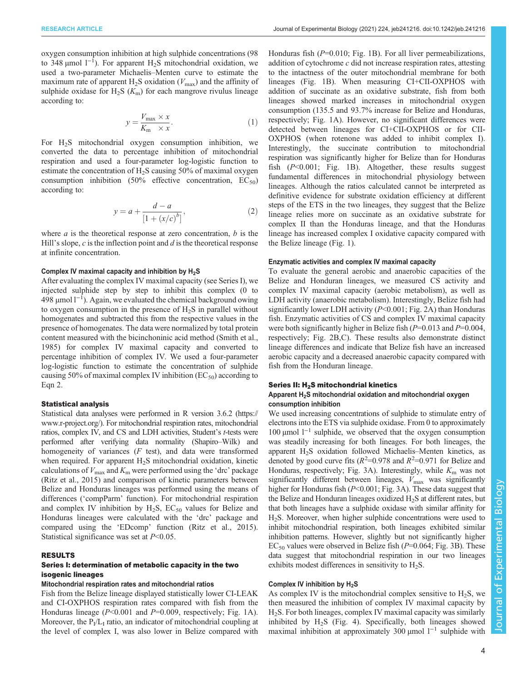oxygen consumption inhibition at high sulphide concentrations (98 to 348 µmol  $1^{-1}$ ). For apparent H<sub>2</sub>S mitochondrial oxidation, we used a two-parameter Michaelis–Menten curve to estimate the maximum rate of apparent  $H_2S$  oxidation ( $V_{\text{max}}$ ) and the affinity of sulphide oxidase for  $H_2S(K_m)$  for each mangrove rivulus lineage according to:

$$
y = \frac{V_{\text{max}} \times x}{K_{\text{m}} \times x}.
$$
 (1)

For H2S mitochondrial oxygen consumption inhibition, we converted the data to percentage inhibition of mitochondrial respiration and used a four-parameter log-logistic function to estimate the concentration of H<sub>2</sub>S causing 50% of maximal oxygen consumption inhibition (50% effective concentration,  $EC_{50}$ ) according to:

$$
y = a + \frac{d - a}{[1 + (x/c)^b]},
$$
 (2)

where  $a$  is the theoretical response at zero concentration,  $b$  is the Hill's slope,  $c$  is the inflection point and  $d$  is the theoretical response at infinite concentration.

#### Complex IV maximal capacity and inhibition by  $H_2S$

After evaluating the complex IV maximal capacity (see Series I), we injected sulphide step by step to inhibit this complex (0 to 498 μmol l<sup>-1</sup>). Again, we evaluated the chemical background owing to oxygen consumption in the presence of  $H_2S$  in parallel without homogenates and subtracted this from the respective values in the presence of homogenates. The data were normalized by total protein content measured with the bicinchoninic acid method ([Smith et al.,](#page-9-0) [1985](#page-9-0)) for complex IV maximal capacity and converted to percentage inhibition of complex IV. We used a four-parameter log-logistic function to estimate the concentration of sulphide causing 50% of maximal complex IV inhibition  $(EC_{50})$  according to Eqn 2.

#### Statistical analysis

Statistical data analyses were performed in R version 3.6.2 [\(https://](https://www.r-project.org/) [www.r-project.org/](https://www.r-project.org/)). For mitochondrial respiration rates, mitochondrial ratios, complex IV, and CS and LDH activities, Student's t-tests were performed after verifying data normality (Shapiro–Wilk) and homogeneity of variances (F test), and data were transformed when required. For apparent  $H_2S$  mitochondrial oxidation, kinetic calculations of  $V_{\text{max}}$  and  $K_{\text{m}}$  were performed using the 'drc' package [\(Ritz et al., 2015\)](#page-9-0) and comparison of kinetic parameters between Belize and Honduras lineages was performed using the means of differences ('compParm' function). For mitochondrial respiration and complex IV inhibition by  $H_2S$ ,  $EC_{50}$  values for Belize and Honduras lineages were calculated with the 'drc' package and compared using the 'EDcomp' function ([Ritz et al., 2015\)](#page-9-0). Statistical significance was set at  $P<0.05$ .

#### RESULTS

#### Series I: determination of metabolic capacity in the two isogenic lineages

#### Mitochondrial respiration rates and mitochondrial ratios

Fish from the Belize lineage displayed statistically lower CI-LEAK and CI-OXPHOS respiration rates compared with fish from the Honduras lineage  $(P<0.001$  and  $P=0.009$ , respectively; [Fig. 1A](#page-4-0)). Moreover, the  $P_I/L_I$  ratio, an indicator of mitochondrial coupling at the level of complex I, was also lower in Belize compared with

Honduras fish  $(P=0.010;$  [Fig. 1](#page-4-0)B). For all liver permeabilizations, addition of cytochrome c did not increase respiration rates, attesting to the intactness of the outer mitochondrial membrane for both lineages ([Fig. 1B](#page-4-0)). When measuring CI+CII-OXPHOS with addition of succinate as an oxidative substrate, fish from both lineages showed marked increases in mitochondrial oxygen consumption (135.5 and 93.7% increase for Belize and Honduras, respectively; [Fig. 1](#page-4-0)A). However, no significant differences were detected between lineages for CI+CII-OXPHOS or for CII-OXPHOS (when rotenone was added to inhibit complex I). Interestingly, the succinate contribution to mitochondrial respiration was significantly higher for Belize than for Honduras fish  $(P<0.001$ ; [Fig. 1](#page-4-0)B). Altogether, these results suggest fundamental differences in mitochondrial physiology between lineages. Although the ratios calculated cannot be interpreted as definitive evidence for substrate oxidation efficiency at different steps of the ETS in the two lineages, they suggest that the Belize lineage relies more on succinate as an oxidative substrate for complex II than the Honduras lineage, and that the Honduras lineage has increased complex I oxidative capacity compared with the Belize lineage ([Fig. 1](#page-4-0)).

## Enzymatic activities and complex IV maximal capacity

To evaluate the general aerobic and anaerobic capacities of the Belize and Honduran lineages, we measured CS activity and complex IV maximal capacity (aerobic metabolism), as well as LDH activity (anaerobic metabolism). Interestingly, Belize fish had significantly lower LDH activity  $(P<0.001$ ; [Fig. 2](#page-4-0)A) than Honduras fish. Enzymatic activities of CS and complex IV maximal capacity were both significantly higher in Belize fish  $(P=0.013$  and  $P=0.004$ , respectively; [Fig. 2B](#page-4-0),C). These results also demonstrate distinct lineage differences and indicate that Belize fish have an increased aerobic capacity and a decreased anaerobic capacity compared with fish from the Honduran lineage.

#### Series II: H<sub>2</sub>S mitochondrial kinetics

#### Apparent H<sub>2</sub>S mitochondrial oxidation and mitochondrial oxygen consumption inhibition

We used increasing concentrations of sulphide to stimulate entry of electrons into the ETS via sulphide oxidase. From 0 to approximately 100 µmol l−<sup>1</sup> sulphide, we observed that the oxygen consumption was steadily increasing for both lineages. For both lineages, the apparent H<sub>2</sub>S oxidation followed Michaelis–Menten kinetics, as denoted by good curve fits ( $R^2$ =0.978 and  $R^2$ =0.971 for Belize and Honduras, respectively; [Fig. 3](#page-5-0)A). Interestingly, while  $K<sub>m</sub>$  was not significantly different between lineages,  $V_{\text{max}}$  was significantly higher for Honduras fish (P<0.001; [Fig. 3](#page-5-0)A). These data suggest that the Belize and Honduran lineages oxidized  $H_2S$  at different rates, but that both lineages have a sulphide oxidase with similar affinity for H2S. Moreover, when higher sulphide concentrations were used to inhibit mitochondrial respiration, both lineages exhibited similar inhibition patterns. However, slightly but not significantly higher  $EC_{50}$  values were observed in Belize fish ( $P=0.064$ ; [Fig. 3](#page-5-0)B). These data suggest that mitochondrial respiration in our two lineages exhibits modest differences in sensitivity to  $H_2S$ .

#### Complex IV inhibition by H<sub>2</sub>S

As complex IV is the mitochondrial complex sensitive to  $H_2S$ , we then measured the inhibition of complex IV maximal capacity by H2S. For both lineages, complex IV maximal capacity was similarly inhibited by  $H_2S$  [\(Fig. 4](#page-6-0)). Specifically, both lineages showed maximal inhibition at approximately 300 µmol  $1^{-1}$  sulphide with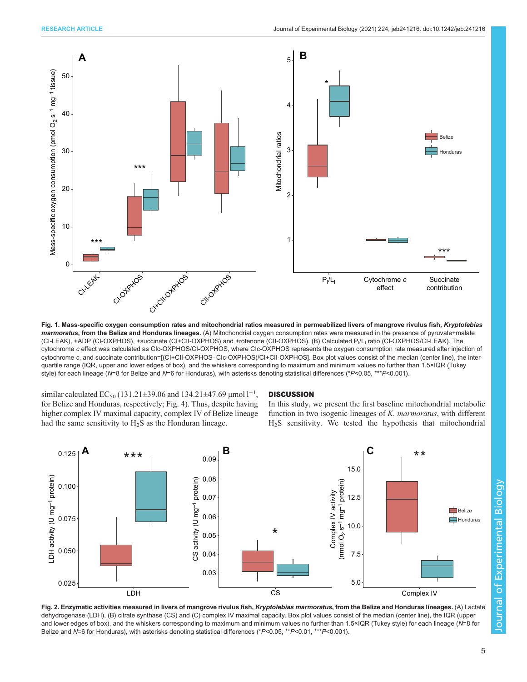<span id="page-4-0"></span>

Fig. 1. Mass-specific oxygen consumption rates and mitochondrial ratios measured in permeabilized livers of mangrove rivulus fish, Kryptolebias marmoratus, from the Belize and Honduras lineages. (A) Mitochondrial oxygen consumption rates were measured in the presence of pyruvate+malate (CI-LEAK), +ADP (CI-OXPHOS), +succinate (CI+CII-OXPHOS) and +rotenone (CII-OXPHOS). (B) Calculated P<sub>I</sub>/L<sub>I</sub> ratio (CI-OXPHOS/CI-LEAK). The cytochrome c effect was calculated as CIc-OXPHOS/CI-OXPHOS, where CIc-OXPHOS represents the oxygen consumption rate measured after injection of cytochrome c, and succinate contribution=[(CI+CII-OXPHOS–CIc-OXPHOS)/CI+CII-OXPHOS]. Box plot values consist of the median (center line), the interquartile range (IQR, upper and lower edges of box), and the whiskers corresponding to maximum and minimum values no further than 1.5×IQR (Tukey style) for each lineage (N=8 for Belize and N=6 for Honduras), with asterisks denoting statistical differences (\*P<0.05, \*\*\*P<0.001).

similar calculated  $EC_{50}$  (131.21±39.06 and 134.21±47.69 µmol  $l^{-1}$ , for Belize and Honduras, respectively; [Fig. 4\)](#page-6-0). Thus, despite having higher complex IV maximal capacity, complex IV of Belize lineage had the same sensitivity to  $H_2S$  as the Honduran lineage.

## **DISCUSSION**

In this study, we present the first baseline mitochondrial metabolic function in two isogenic lineages of K. marmoratus, with different H2S sensitivity. We tested the hypothesis that mitochondrial



Fig. 2. Enzymatic activities measured in livers of mangrove rivulus fish, Kryptolebias marmoratus, from the Belize and Honduras lineages. (A) Lactate dehydrogenase (LDH), (B) citrate synthase (CS) and (C) complex IV maximal capacity. Box plot values consist of the median (center line), the IQR (upper and lower edges of box), and the whiskers corresponding to maximum and minimum values no further than 1.5×IQR (Tukey style) for each lineage (N=8 for Belize and N=6 for Honduras), with asterisks denoting statistical differences (\*P<0.05, \*\*P<0.01, \*\*\*P<0.001).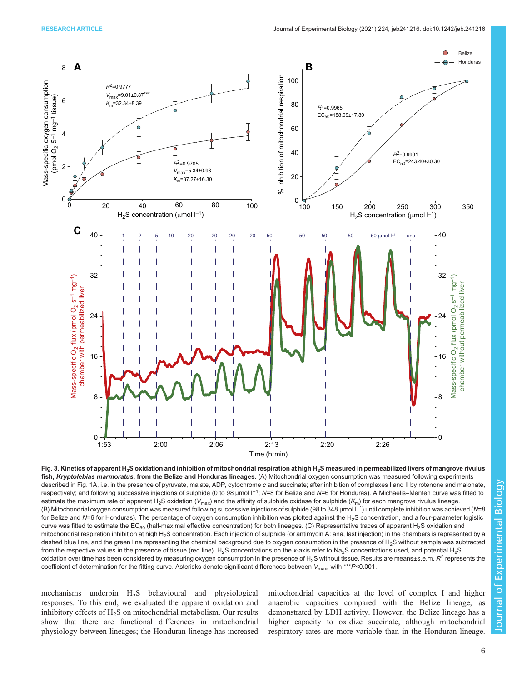<span id="page-5-0"></span>

fish, Kryptolebias marmoratus, from the Belize and Honduras lineages. (A) Mitochondrial oxygen consumption was measured following experiments described in [Fig. 1A,](#page-4-0) i.e. in the presence of pyruvate, malate, ADP, cytochrome c and succinate; after inhibition of complexes I and II by rotenone and malonate, respectively; and following successive injections of sulphide (0 to 98 µmol l<sup>-1</sup>; N=8 for Belize and N=6 for Honduras). A Michaelis–Menten curve was fitted to estimate the maximum rate of apparent H<sub>2</sub>S oxidation (V<sub>max</sub>) and the affinity of sulphide oxidase for sulphide (K<sub>m</sub>) for each mangrove rivulus lineage. (B) Mitochondrial oxygen consumption was measured following successive injections of sulphide (98 to 348 µmol l−<sup>1</sup> ) until complete inhibition was achieved (N=8 for Belize and N=6 for Honduras). The percentage of oxygen consumption inhibition was plotted against the H<sub>2</sub>S concentration, and a four-parameter logistic curve was fitted to estimate the  $EC_{50}$  (half-maximal effective concentration) for both lineages. (C) Representative traces of apparent H<sub>2</sub>S oxidation and mitochondrial respiration inhibition at high H<sub>2</sub>S concentration. Each injection of sulphide (or antimycin A: ana, last injection) in the chambers is represented by a dashed blue line, and the green line representing the chemical background due to oxygen consumption in the presence of  $H_2S$  without sample was subtracted from the respective values in the presence of tissue (red line). H<sub>2</sub>S concentrations on the x-axis refer to Na<sub>2</sub>S concentrations used, and potential H<sub>2</sub>S oxidation over time has been considered by measuring oxygen consumption in the presence of H<sub>2</sub>S without tissue. Results are means±s.e.m. R<sup>2</sup> represents the coefficient of determination for the fitting curve. Asterisks denote significant differences between  $V_{\rm max}$ , with \*\*\* $P$ <0.001.

mechanisms underpin H2S behavioural and physiological responses. To this end, we evaluated the apparent oxidation and inhibitory effects of  $H_2S$  on mitochondrial metabolism. Our results show that there are functional differences in mitochondrial physiology between lineages; the Honduran lineage has increased

mitochondrial capacities at the level of complex I and higher anaerobic capacities compared with the Belize lineage, as demonstrated by LDH activity. However, the Belize lineage has a higher capacity to oxidize succinate, although mitochondrial respiratory rates are more variable than in the Honduran lineage.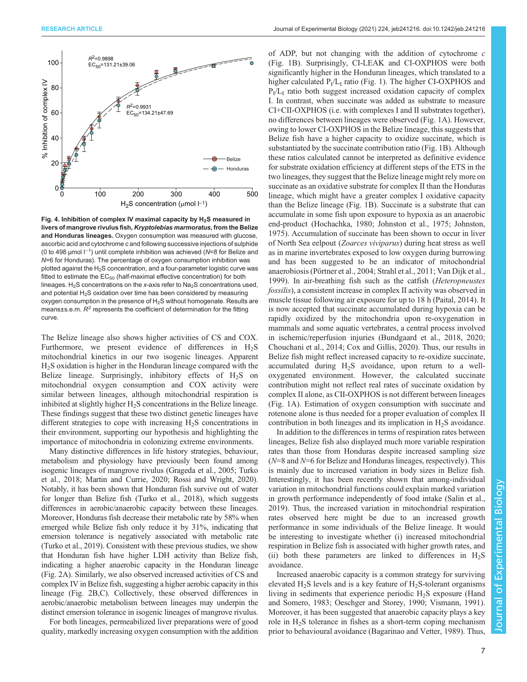<span id="page-6-0"></span>![](_page_6_Figure_1.jpeg)

Fig. 4. Inhibition of complex IV maximal capacity by  $H_2S$  measured in livers of mangrove rivulus fish, Kryptolebias marmoratus, from the Belize and Honduras lineages. Oxygen consumption was measured with glucose, ascorbic acid and cytochrome c and following successive injections of sulphide (0 to 498 µmol l−<sup>1</sup> ) until complete inhibition was achieved (N=8 for Belize and N=6 for Honduras). The percentage of oxygen consumption inhibition was plotted against the  $H_2S$  concentration, and a four-parameter logistic curve was fitted to estimate the  $EC_{50}$  (half-maximal effective concentration) for both lineages. H<sub>2</sub>S concentrations on the x-axis refer to Na<sub>2</sub>S concentrations used, and potential  $H_2S$  oxidation over time has been considered by measuring oxygen consumption in the presence of  $H_2S$  without homogenate. Results are means $\pm$ s.e.m.  $R^2$  represents the coefficient of determination for the fitting curve.

The Belize lineage also shows higher activities of CS and COX. Furthermore, we present evidence of differences in  $H_2S$ mitochondrial kinetics in our two isogenic lineages. Apparent H2S oxidation is higher in the Honduran lineage compared with the Belize lineage. Surprisingly, inhibitory effects of  $H_2S$  on mitochondrial oxygen consumption and COX activity were similar between lineages, although mitochondrial respiration is inhibited at slightly higher  $H_2S$  concentrations in the Belize lineage. These findings suggest that these two distinct genetic lineages have different strategies to cope with increasing  $H_2S$  concentrations in their environment, supporting our hypothesis and highlighting the importance of mitochondria in colonizing extreme environments.

Many distinctive differences in life history strategies, behaviour, metabolism and physiology have previously been found among isogenic lineages of mangrove rivulus [\(Grageda et al., 2005](#page-8-0); [Turko](#page-9-0) [et al., 2018;](#page-9-0) [Martin and Currie, 2020;](#page-8-0) [Rossi and Wright, 2020\)](#page-9-0). Notably, it has been shown that Honduran fish survive out of water for longer than Belize fish [\(Turko et al., 2018](#page-9-0)), which suggests differences in aerobic/anaerobic capacity between these lineages. Moreover, Honduras fish decrease their metabolic rate by 58% when emerged while Belize fish only reduce it by 31%, indicating that emersion tolerance is negatively associated with metabolic rate [\(Turko et al., 2019](#page-9-0)). Consistent with these previous studies, we show that Honduran fish have higher LDH activity than Belize fish, indicating a higher anaerobic capacity in the Honduran lineage [\(Fig. 2A](#page-4-0)). Similarly, we also observed increased activities of CS and complex IV in Belize fish, suggesting a higher aerobic capacity in this lineage ([Fig. 2](#page-4-0)B,C). Collectively, these observed differences in aerobic/anaerobic metabolism between lineages may underpin the distinct emersion tolerance in isogenic lineages of mangrove rivulus.

For both lineages, permeabilized liver preparations were of good quality, markedly increasing oxygen consumption with the addition

of ADP, but not changing with the addition of cytochrome  $c$ [\(Fig. 1](#page-4-0)B). Surprisingly, CI-LEAK and CI-OXPHOS were both significantly higher in the Honduran lineages, which translated to a higher calculated  $P_1/L_1$  ratio ([Fig. 1\)](#page-4-0). The higher CI-OXPHOS and  $P<sub>I</sub>/L<sub>I</sub>$  ratio both suggest increased oxidation capacity of complex I. In contrast, when succinate was added as substrate to measure CI+CII-OXPHOS (i.e. with complexes I and II substrates together), no differences between lineages were observed ([Fig. 1](#page-4-0)A). However, owing to lower CI-OXPHOS in the Belize lineage, this suggests that Belize fish have a higher capacity to oxidize succinate, which is substantiated by the succinate contribution ratio [\(Fig. 1B](#page-4-0)). Although these ratios calculated cannot be interpreted as definitive evidence for substrate oxidation efficiency at different steps of the ETS in the two lineages, they suggest that the Belize lineage might rely more on succinate as an oxidative substrate for complex II than the Honduras lineage, which might have a greater complex I oxidative capacity than the Belize lineage ([Fig. 1](#page-4-0)B). Succinate is a substrate that can accumulate in some fish upon exposure to hypoxia as an anaerobic end-product ([Hochachka, 1980; Johnston et al., 1975; Johnston,](#page-8-0) [1975\)](#page-8-0). Accumulation of succinate has been shown to occur in liver of North Sea eelpout (Zoarces viviparus) during heat stress as well as in marine invertebrates exposed to low oxygen during burrowing and has been suggested to be an indicator of mitochondrial anaerobiosis ([Pörtner et al., 2004](#page-9-0); [Strahl et al., 2011; Van Dijk et al.,](#page-9-0) [1999\)](#page-9-0). In air-breathing fish such as the catfish (Heteropneustes fossilis), a consistent increase in complex II activity was observed in muscle tissue following air exposure for up to 18 h [\(Paital, 2014\)](#page-8-0). It is now accepted that succinate accumulated during hypoxia can be rapidly oxidized by the mitochondria upon re-oxygenation in mammals and some aquatic vertebrates, a central process involved in ischemic/reperfusion injuries ([Bundgaard et al., 2018](#page-8-0), [2020](#page-8-0); [Chouchani et al., 2014](#page-8-0); [Cox and Gillis, 2020\)](#page-8-0). Thus, our results in Belize fish might reflect increased capacity to re-oxidize succinate, accumulated during  $H_2S$  avoidance, upon return to a welloxygenated environment. However, the calculated succinate contribution might not reflect real rates of succinate oxidation by complex II alone, as CII-OXPHOS is not different between lineages [\(Fig. 1](#page-4-0)A). Estimation of oxygen consumption with succinate and rotenone alone is thus needed for a proper evaluation of complex II contribution in both lineages and its implication in  $H_2S$  avoidance.

In addition to the differences in terms of respiration rates between lineages, Belize fish also displayed much more variable respiration rates than those from Honduras despite increased sampling size  $(N=8$  and  $N=6$  for Belize and Honduras lineages, respectively). This is mainly due to increased variation in body sizes in Belize fish. Interestingly, it has been recently shown that among-individual variation in mitochondrial functions could explain marked variation in growth performance independently of food intake ([Salin et al.,](#page-9-0) [2019\)](#page-9-0). Thus, the increased variation in mitochondrial respiration rates observed here might be due to an increased growth performance in some individuals of the Belize lineage. It would be interesting to investigate whether (i) increased mitochondrial respiration in Belize fish is associated with higher growth rates, and (ii) both these parameters are linked to differences in  $H_2S$ avoidance.

Increased anaerobic capacity is a common strategy for surviving elevated  $H_2S$  levels and is a key feature of  $H_2S$ -tolerant organisms living in sediments that experience periodic  $H_2S$  exposure [\(Hand](#page-8-0) [and Somero, 1983](#page-8-0); [Oeschger and Storey, 1990;](#page-8-0) [Vismann, 1991\)](#page-9-0). Moreover, it has been suggested that anaerobic capacity plays a key role in H<sub>2</sub>S tolerance in fishes as a short-term coping mechanism prior to behavioural avoidance [\(Bagarinao and Vetter, 1989](#page-8-0)). Thus,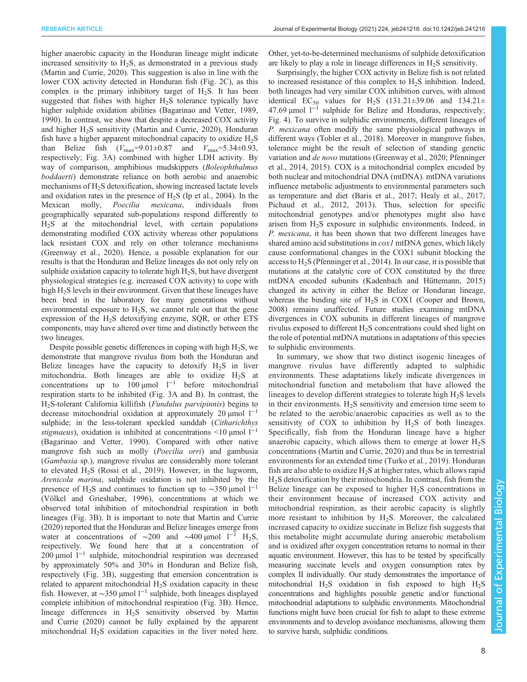higher anaerobic capacity in the Honduran lineage might indicate increased sensitivity to  $H_2S$ , as demonstrated in a previous study [\(Martin and Currie, 2020](#page-8-0)). This suggestion is also in line with the lower COX activity detected in Honduran fish [\(Fig. 2C](#page-4-0)), as this complex is the primary inhibitory target of  $H_2S$ . It has been suggested that fishes with higher  $H_2S$  tolerance typically have higher sulphide oxidation abilities [\(Bagarinao and Vetter, 1989,](#page-8-0) [1990](#page-8-0)). In contrast, we show that despite a decreased COX activity and higher  $H<sub>2</sub>S$  sensitivity ([Martin and Currie, 2020](#page-8-0)), Honduran fish have a higher apparent mitochondrial capacity to oxidize  $H_2S$ than Belize fish  $(V_{\text{max}}=9.01\pm0.87$  and  $V_{\text{max}}=5.34\pm0.93$ , respectively; [Fig. 3](#page-5-0)A) combined with higher LDH activity. By way of comparison, amphibious mudskippers (Boleophthalmus boddaerti) demonstrate reliance on both aerobic and anaerobic mechanisms of H<sub>2</sub>S detoxification, showing increased lactate levels and oxidation rates in the presence of  $H_2S$  ([Ip et al., 2004](#page-8-0)). In the Mexican molly, *Poecilia mexicana*, individuals from Poecilia mexicana, individuals from geographically separated sub-populations respond differently to H2S at the mitochondrial level, with certain populations demonstrating modified COX activity whereas other populations lack resistant COX and rely on other tolerance mechanisms [\(Greenway et al., 2020\)](#page-8-0). Hence, a possible explanation for our results is that the Honduran and Belize lineages do not only rely on sulphide oxidation capacity to tolerate high  $H_2S$ , but have divergent physiological strategies (e.g. increased COX activity) to cope with high  $H_2S$  levels in their environment. Given that these lineages have been bred in the laboratory for many generations without environmental exposure to  $H_2S$ , we cannot rule out that the gene expression of the H2S detoxifying enzyme, SQR, or other ETS components, may have altered over time and distinctly between the two lineages.

Despite possible genetic differences in coping with high  $H_2S$ , we demonstrate that mangrove rivulus from both the Honduran and Belize lineages have the capacity to detoxify  $H_2S$  in liver mitochondria. Both lineages are able to oxidize  $H_2S$  at concentrations up to  $100 \mu$ mol l<sup>−1</sup> before mitochondrial respiration starts to be inhibited ([Fig. 3A](#page-5-0) and B). In contrast, the H<sub>2</sub>S-tolerant California killifish (*Fundulus parvipinnis*) begins to decrease mitochondrial oxidation at approximately 20  $\mu$ mol l<sup>-1</sup> sulphide; in the less-tolerant speckled sanddab (Citharichthys) stigmaeus), oxidation is inhibited at concentrations <10  $\mu$ mol l<sup>-1</sup> [\(Bagarinao and Vetter, 1990](#page-8-0)). Compared with other native mangrove fish such as molly (*Poecilia orri*) and gambusia (Gambusia sp.), mangrove rivulus are considerably more tolerant to elevated  $H_2S$  [\(Rossi et al., 2019\)](#page-9-0). However, in the lugworm, Arenicola marina, sulphide oxidation is not inhibited by the presence of H<sub>2</sub>S and continues to function up to ~350 µmol l<sup>-1</sup> [\(Völkel and Grieshaber, 1996\)](#page-9-0), concentrations at which we observed total inhibition of mitochondrial respiration in both lineages [\(Fig. 3](#page-5-0)B). It is important to note that [Martin and Currie](#page-8-0) [\(2020\)](#page-8-0) reported that the Honduran and Belize lineages emerge from water at concentrations of ~200 and ~400 µmol  $1^{-1}$  H<sub>2</sub>S, respectively. We found here that at a concentration of 200 μmol l<sup>-1</sup> sulphide, mitochondrial respiration was decreased by approximately 50% and 30% in Honduran and Belize fish, respectively ([Fig. 3](#page-5-0)B), suggesting that emersion concentration is related to apparent mitochondrial  $H<sub>2</sub>S$  oxidation capacity in these fish. However, at ~350 µmol  $l^{-1}$  sulphide, both lineages displayed complete inhibition of mitochondrial respiration [\(Fig. 3B](#page-5-0)). Hence, lineage differences in H2S sensitivity observed by [Martin](#page-8-0) [and Currie \(2020\)](#page-8-0) cannot be fully explained by the apparent mitochondrial  $H_2S$  oxidation capacities in the liver noted here.

Other, yet-to-be-determined mechanisms of sulphide detoxification are likely to play a role in lineage differences in  $H_2S$  sensitivity.

Surprisingly, the higher COX activity in Belize fish is not related to increased resistance of this complex to  $H<sub>2</sub>S$  inhibition. Indeed, both lineages had very similar COX inhibition curves, with almost identical EC<sub>50</sub> values for H<sub>2</sub>S (131.21±39.06 and 134.21± 47.69 µmol  $1^{-1}$  sulphide for Belize and Honduras, respectively; [Fig. 4](#page-6-0)). To survive in sulphidic environments, different lineages of P. mexicana often modify the same physiological pathways in different ways ([Tobler et al., 2018\)](#page-9-0). Moreover in mangrove fishes, tolerance might be the result of selection of standing genetic variation and *de novo* mutations [\(Greenway et al., 2020;](#page-8-0) [Pfenninger](#page-9-0) [et al., 2014, 2015](#page-9-0)). COX is a mitochondrial complex encoded by both nuclear and mitochondrial DNA (mtDNA). mtDNA variations influence metabolic adjustments to environmental parameters such as temperature and diet [\(Baris et al., 2017](#page-8-0); [Healy et al., 2017](#page-8-0); [Pichaud et al., 2012](#page-9-0), [2013](#page-9-0)). Thus, selection for specific mitochondrial genotypes and/or phenotypes might also have arisen from  $H<sub>2</sub>S$  exposure in sulphidic environments. Indeed, in P. mexicana, it has been shown that two different lineages have shared amino acid substitutions in *cox1* mtDNA genes, which likely cause conformational changes in the COX1 subunit blocking the access to H2S [\(Pfenninger et al., 2014\)](#page-9-0). In our case, it is possible that mutations at the catalytic core of COX constituted by the three mtDNA encoded subunits [\(Kadenbach and Hüttemann, 2015\)](#page-8-0) changed its activity in either the Belize or Honduran lineage, whereas the binding site of  $H_2S$  in COX1 ([Cooper and Brown,](#page-8-0) [2008\)](#page-8-0) remains unaffected. Future studies examining mtDNA divergences in COX subunits in different lineages of mangrove rivulus exposed to different H2S concentrations could shed light on the role of potential mtDNA mutations in adaptations of this species to sulphidic environments.

In summary, we show that two distinct isogenic lineages of mangrove rivulus have differently adapted to sulphidic environments. These adaptations likely indicate divergences in mitochondrial function and metabolism that have allowed the lineages to develop different strategies to tolerate high  $H_2S$  levels in their environments.  $H_2S$  sensitivity and emersion time seem to be related to the aerobic/anaerobic capacities as well as to the sensitivity of  $COX$  to inhibition by  $H<sub>2</sub>S$  of both lineages. Specifically, fish from the Honduran lineage have a higher anaerobic capacity, which allows them to emerge at lower  $H_2S$ concentrations [\(Martin and Currie, 2020\)](#page-8-0) and thus be in terrestrial environments for an extended time ([Turko et al., 2019\)](#page-9-0). Honduran fish are also able to oxidize  $H_2S$  at higher rates, which allows rapid H2S detoxification by their mitochondria. In contrast, fish from the Belize lineage can be exposed to higher  $H_2S$  concentrations in their environment because of increased COX activity and mitochondrial respiration, as their aerobic capacity is slightly more resistant to inhibition by  $H_2S$ . Moreover, the calculated increased capacity to oxidize succinate in Belize fish suggests that this metabolite might accumulate during anaerobic metabolism and is oxidized after oxygen concentration returns to normal in their aquatic environment. However, this has to be tested by specifically measuring succinate levels and oxygen consumption rates by complex II individually. Our study demonstrates the importance of mitochondrial  $H_2S$  oxidation in fish exposed to high  $H_2S$ concentrations and highlights possible genetic and/or functional mitochondrial adaptations to sulphidic environments. Mitochondrial functions might have been crucial for fish to adapt to these extreme environments and to develop avoidance mechanisms, allowing them to survive harsh, sulphidic conditions.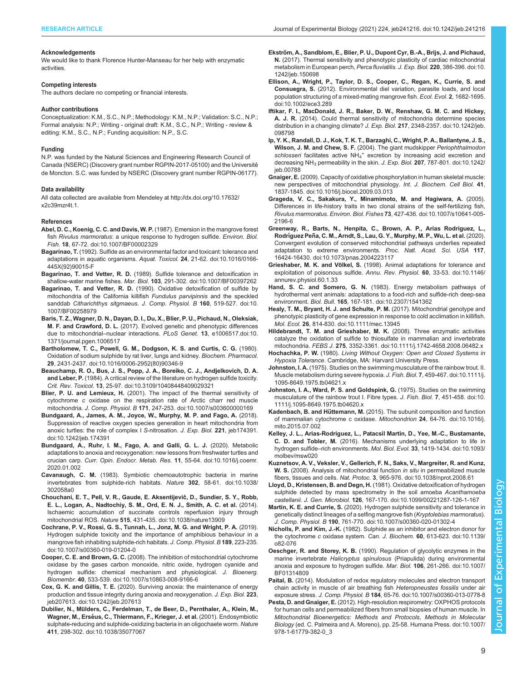#### <span id="page-8-0"></span>Acknowledgements

We would like to thank Florence Hunter-Manseau for her help with enzymatic activities.

# Competing interests

The authors declare no competing or financial interests.

#### Author contributions

Conceptualization: K.M., S.C., N.P.; Methodology: K.M., N.P.; Validation: S.C., N.P.; Formal analysis: N.P.; Writing - original draft: K.M., S.C., N.P.; Writing - review & editing: K.M., S.C., N.P.; Funding acquisition: N.P., S.C.

#### Funding

N.P. was funded by the Natural Sciences and Engineering Research Council of Canada (NSERC) (Discovery grant number RGPIN-2017-05100) and the Université de Moncton. S.C. was funded by NSERC (Discovery grant number RGPIN-06177).

#### Data availability

All data collected are available from Mendeley at [http://dx.doi.org/10.17632/](http://dx.doi.org/10.17632/x2c39mzr4t.1) [x2c39mzr4t.1.](http://dx.doi.org/10.17632/x2c39mzr4t.1)

#### References

- [Abel, D. C., Koenig, C. C. and Davis, W. P.](https://doi.org/10.1007/BF00002329) (1987). Emersion in the mangrove forest fish Rivulus marmoratus[: a unique response to hydrogen sulfide.](https://doi.org/10.1007/BF00002329) Environ. Biol. Fish. 18[, 67-72. doi:10.1007/BF00002329](https://doi.org/10.1007/BF00002329)
- Bagarinao, T. [\(1992\). Sulfide as an environmental factor and toxicant: tolerance and](https://doi.org/10.1016/0166-445X(92)90015-F) [adaptations in aquatic organisms.](https://doi.org/10.1016/0166-445X(92)90015-F) Aquat. Toxicol. 24, 21-62. doi:10.1016/0166- [445X\(92\)90015-F](https://doi.org/10.1016/0166-445X(92)90015-F)
- Bagarinao, T. and Vetter, R. D. [\(1989\). Sulfide tolerance and detoxification in](https://doi.org/10.1007/BF00397262) shallow-water marine fishes. Mar. Biol. 103[, 291-302. doi:10.1007/BF00397262](https://doi.org/10.1007/BF00397262)
- Bagarinao, T. and Vetter, R. D. [\(1990\). Oxidative detoxification of sulfide by](https://doi.org/10.1007/BF00258979) [mitochondria of the California killifish](https://doi.org/10.1007/BF00258979) Fundulus parvipinnis and the speckled sanddab [Citharichthys sitgmaeus](https://doi.org/10.1007/BF00258979). J. Comp. Physiol. B 160, 519-527. doi:10. [1007/BF00258979](https://doi.org/10.1007/BF00258979)
- [Baris, T. Z., Wagner, D. N., Dayan, D. I., Du, X., Blier, P. U., Pichaud, N., Oleksiak,](https://doi.org/ doi:10.1371/journal.pgen.1006517) M. F. and Crawford, D. L. [\(2017\). Evolved genetic and phenotypic differences](https://doi.org/ doi:10.1371/journal.pgen.1006517) [due to mitochondrial](https://doi.org/ doi:10.1371/journal.pgen.1006517)–nuclear interactions. PLoS Genet. 13, e1006517.doi:10. [1371/journal.pgen.1006517](https://doi.org/ doi:10.1371/journal.pgen.1006517)
- [Bartholomew, T. C., Powell, G. M., Dodgson, K. S. and Curtis, C. G.](https://doi.org/10.1016/0006-2952(80)90346-9) (1980). [Oxidation of sodium sulphide by rat liver, lungs and kidney.](https://doi.org/10.1016/0006-2952(80)90346-9) Biochem. Pharmacol. 29[, 2431-2437. doi:10.1016/0006-2952\(80\)90346-9](https://doi.org/10.1016/0006-2952(80)90346-9)
- [Beauchamp, R. O., Bus, J. S., Popp, J. A., Boreiko, C. J., Andjelkovich, D. A.](https://doi.org/10.3109/10408448409029321) and Leber, P. [\(1984\). A critical review of the literature on hydrogen sulfide toxicity.](https://doi.org/10.3109/10408448409029321) Crit. Rev. Toxicol. 13[, 25-97. doi:10.3109/10408448409029321](https://doi.org/10.3109/10408448409029321)
- Blier, P. U. and Lemieux, H. [\(2001\). The impact of the thermal sensitivity of](https://doi.org/10.1007/s003600000169) cytochrome c [oxidase on the respiration rate of Arctic charr red muscle](https://doi.org/10.1007/s003600000169) mitochondria. J. Comp. Physiol. B 171[, 247-253. doi:10.1007/s003600000169](https://doi.org/10.1007/s003600000169)
- [Bundgaard, A., James, A. M., Joyce, W., Murphy, M. P. and Fago, A.](https://doi.org/10.1242/jeb.174391) (2018). [Suppression of reactive oxygen species generation in heart mitochondria from](https://doi.org/10.1242/jeb.174391) [anoxic turtles: the role of complex I](https://doi.org/10.1242/jeb.174391) S-nitrosation. J. Exp. Biol. 221, jeb174391. [doi:10.1242/jeb.174391](https://doi.org/10.1242/jeb.174391)
- [Bundgaard, A., Ruhr, I. M., Fago, A. and Galli, G. L. J.](https://doi.org/10.1016/j.coemr.2020.01.002) (2020). Metabolic [adaptations to anoxia and reoxygenation: new lessons from freshwater turtles and](https://doi.org/10.1016/j.coemr.2020.01.002) crucian carp. [Curr. Opin. Endocr. Metab. Res.](https://doi.org/10.1016/j.coemr.2020.01.002) 11, 55-64. doi:10.1016/j.coemr. [2020.01.002](https://doi.org/10.1016/j.coemr.2020.01.002)
- Cavanaugh, C. M. [\(1983\). Symbiotic chemoautotrophic bacteria in marine](https://doi.org/10.1038/302058a0) [invertebrates from sulphide-rich habitats.](https://doi.org/10.1038/302058a0) Nature 302, 58-61. doi:10.1038/ [302058a0](https://doi.org/10.1038/302058a0)
- Chouchani, E. T., Pell, V. R., Gaude, E. Aksentijević, D., Sundier, S. Y., Robb, [E. L., Logan, A., Nadtochiy, S. M., Ord, E. N. J., Smith, A. C. et al.](https://doi.org/10.1038/nature13909) (2014). [Ischaemic accumulation of succinate controls reperfusion injury through](https://doi.org/10.1038/nature13909) mitochondrial ROS. Nature 515[, 431-435. doi:10.1038/nature13909](https://doi.org/10.1038/nature13909)
- [Cochrane, P. V., Rossi, G. S., Tunnah, L., Jonz, M. G. and Wright, P. A.](https://doi.org/10.1007/s00360-019-01204-0) (2019). [Hydrogen sulphide toxicity and the importance of amphibious behaviour in a](https://doi.org/10.1007/s00360-019-01204-0) [mangrove fish inhabiting sulphide-rich habitats.](https://doi.org/10.1007/s00360-019-01204-0) J. Comp. Physiol. B 189, 223-235. [doi:10.1007/s00360-019-01204-0](https://doi.org/10.1007/s00360-019-01204-0)
- Cooper, C. E. and Brown, G. C. [\(2008\). The inhibition of mitochondrial cytochrome](https://doi.org/10.1007/s10863-008-9166-6) [oxidase by the gases carbon monoxide, nitric oxide, hydrogen cyanide and](https://doi.org/10.1007/s10863-008-9166-6) [hydrogen sulfide: chemical mechanism and physiological.](https://doi.org/10.1007/s10863-008-9166-6) J. Bioenerg. Biomembr. 40[, 533-539. doi:10.1007/s10863-008-9166-6](https://doi.org/10.1007/s10863-008-9166-6)
- Cox, G. K. and Gillis, T. E. [\(2020\). Surviving anoxia: the maintenance of energy](https://doi.org/10.1242/jeb.207613) [production and tissue integrity during anoxia and reoxygenation.](https://doi.org/10.1242/jeb.207613) J. Exp. Biol. 223, [jeb207613. doi:10.1242/jeb.207613](https://doi.org/10.1242/jeb.207613)
- Dubilier, N., Mü[lders, C., Ferdelman, T., de Beer, D., Pernthaler, A., Klein, M.,](https://doi.org/10.1038/35077067) Wagner, M., Ersé[us, C., Thiermann, F., Krieger, J. et al.](https://doi.org/10.1038/35077067) (2001). Endosymbiotic [sulphate-reducing and sulphide-oxidizing bacteria in an oligochaete worm.](https://doi.org/10.1038/35077067) Nature 411[, 298-302. doi:10.1038/35077067](https://doi.org/10.1038/35077067)
- Ekströ[m, A., Sandblom, E., Blier, P. U., Dupont Cyr, B.-A., Brijs, J. and Pichaud,](https://doi.org/10.1242/jeb.150698) N. [\(2017\). Thermal sensitivity and phenotypic plasticity of cardiac mitochondrial](https://doi.org/10.1242/jeb.150698) [metabolism in European perch,](https://doi.org/10.1242/jeb.150698) Perca fluviatilis. J. Exp. Biol. 220, 386-396. doi:10. [1242/jeb.150698](https://doi.org/10.1242/jeb.150698)
- [Ellison, A., Wright, P., Taylor, D. S., Cooper, C., Regan, K., Currie, S. and](https://doi.org/10.1002/ece3.289) Consuegra, S. [\(2012\). Environmental diel variation, parasite loads, and local](https://doi.org/10.1002/ece3.289) [population structuring of a mixed-mating mangrove fish.](https://doi.org/10.1002/ece3.289) Ecol. Evol. 2, 1682-1695. [doi:10.1002/ece3.289](https://doi.org/10.1002/ece3.289)
- [Iftikar, F. I., MacDonald, J. R., Baker, D. W., Renshaw, G. M. C. and Hickey,](https://doi.org/10.1242/jeb.098798) A. J. R. [\(2014\). Could thermal sensitivity of mitochondria determine species](https://doi.org/10.1242/jeb.098798) [distribution in a changing climate?](https://doi.org/10.1242/jeb.098798) J. Exp. Biol. 217, 2348-2357. doi:10.1242/jeb. [098798](https://doi.org/10.1242/jeb.098798)
- [Ip, Y. K., Randall, D. J., Kok, T. K. T., Barzaghi, C., Wright, P. A., Ballantyne, J. S.,](https://doi.org/10.1242/jeb.00788) [Wilson, J. M. and Chew, S. F.](https://doi.org/10.1242/jeb.00788) (2004). The giant mudskipper Periophthalmodon schlosseri facilitates active NH<sub>4</sub><sup>[+](https://doi.org/10.1242/jeb.00788)</sup> [excretion by increasing acid excretion and](https://doi.org/10.1242/jeb.00788) decreasing NH<sub>3</sub> [permeability in the skin.](https://doi.org/10.1242/jeb.00788) J. Exp. Biol. 207, 787-801. doi:10.1242/ [jeb.00788](https://doi.org/10.1242/jeb.00788)
- Gnaiger, E. [\(2009\). Capacity of oxidative phosphorylation in human skeletal muscle:](https://doi.org/10.1016/j.biocel.2009.03.013) [new perspectives of mitochondrial physiology.](https://doi.org/10.1016/j.biocel.2009.03.013) Int. J. Biochem. Cell Biol. 41, [1837-1845. doi:10.1016/j.biocel.2009.03.013](https://doi.org/10.1016/j.biocel.2009.03.013)
- [Grageda, V. C., Sakakura, Y., Minamimoto, M. and Hagiwara, A.](https://doi.org/10.1007/s10641-005-2196-6) (2005). [Differences in life-history traits in two clonal strains of the self-fertilizing fish,](https://doi.org/10.1007/s10641-005-2196-6) Rivulus marmoratus. Environ. Biol. Fishes 73[, 427-436. doi:10.1007/s10641-005-](https://doi.org/10.1007/s10641-005-2196-6) [2196-6](https://doi.org/10.1007/s10641-005-2196-6)
- [Greenway, R., Barts, N., Henpita, C., Brown, A. P., Arias Rodriguez, L.,](https://doi.org/10.1073/pnas.2004223117) Rodríguez Peñ[a, C. M., Arndt, S., Lau, G. Y., Murphy, M. P., Wu, L. et al.](https://doi.org/10.1073/pnas.2004223117) (2020). [Convergent evolution of conserved mitochondrial pathways underlies repeated](https://doi.org/10.1073/pnas.2004223117) [adaptation to extreme environments.](https://doi.org/10.1073/pnas.2004223117) Proc. Natl. Acad. Sci. USA 117, [16424-16430. doi:10.1073/pnas.2004223117](https://doi.org/10.1073/pnas.2004223117)
- Grieshaber, M. K. and Völkel, S. [\(1998\). Animal adaptations for tolerance and](https://doi.org/10.1146/annurev.physiol.60.1.33) [exploitation of poisonous sulfide.](https://doi.org/10.1146/annurev.physiol.60.1.33) Annu. Rev. Physiol. 60, 33-53. doi:10.1146/ [annurev.physiol.60.1.33](https://doi.org/10.1146/annurev.physiol.60.1.33)
- Hand, S. C. and Somero, G. N. [\(1983\). Energy metabolism pathways of](https://doi.org/10.2307/1541362) [hydrothermal vent animals: adaptations to a food-rich and sulfide-rich deep-sea](https://doi.org/10.2307/1541362) environment. Biol. Bull. 165[, 167-181. doi:10.2307/1541362](https://doi.org/10.2307/1541362)
- [Healy, T. M., Bryant, H. J. and Schulte, P. M.](https://doi.org/10.1111/mec.13945) (2017). Mitochondrial genotype and [phenotypic plasticity of gene expression in response to cold acclimation in killifish.](https://doi.org/10.1111/mec.13945) Mol. Ecol. 26[, 814-830. doi:10.1111/mec.13945](https://doi.org/10.1111/mec.13945)
- [Hildebrandt, T. M. and Grieshaber, M. K.](https://doi.org/10.1111/j.1742-4658.2008.06482.x) (2008). Three enzymatic activities [catalyze the oxidation of sulfide to thiosulfate in mammalian and invertebrate](https://doi.org/10.1111/j.1742-4658.2008.06482.x) mitochondria. FEBS J. 275[, 3352-3361. doi:10.1111/j.1742-4658.2008.06482.x](https://doi.org/10.1111/j.1742-4658.2008.06482.x)

Hochachka, P. W. (1980). Living Without Oxygen: Open and Closed Systems in Hypoxia Tolerance. Cambridge, MA: Harvard University Press.

- Johnston, I. A. [\(1975\). Studies on the swimming musculature of the rainbow trout. II.](https://doi.org/10.1111/j.1095-8649.1975.tb04621.x) [Muscle metabolism during severe hypoxia.](https://doi.org/10.1111/j.1095-8649.1975.tb04621.x) J. Fish. Biol. 7, 459-467. doi:10.1111/j. [1095-8649.1975.tb04621.x](https://doi.org/10.1111/j.1095-8649.1975.tb04621.x)
- [Johnston, I. A., Ward, P. S. and Goldspink, G.](https://doi.org/10.1111/j.1095-8649.1975.tb04620.x) (1975). Studies on the swimming [musculature of the rainbow trout I. Fibre types.](https://doi.org/10.1111/j.1095-8649.1975.tb04620.x) J. Fish. Biol. 7, 451-458. doi:10. [1111/j.1095-8649.1975.tb04620.x](https://doi.org/10.1111/j.1095-8649.1975.tb04620.x)
- Kadenbach, B. and Hüttemann, M. [\(2015\). The subunit composition and function](https://doi.org/10.1016/j.mito.2015.07.002) [of mammalian cytochrome c oxidase.](https://doi.org/10.1016/j.mito.2015.07.002) Mitochondrion 24, 64-76. doi:10.1016/j. [mito.2015.07.002](https://doi.org/10.1016/j.mito.2015.07.002)
- [Kelley, J. L., Arias-Rodriguez, L., Patacsil Martin, D., Yee, M.-C., Bustamante,](https://doi.org/10.1093/molbev/msw020) C. D. and Tobler, M. [\(2016\). Mechanisms underlying adaptation to life in](https://doi.org/10.1093/molbev/msw020) hydrogen sulfide–rich environments. Mol. Biol. Evol. 33[, 1419-1434. doi:10.1093/](https://doi.org/10.1093/molbev/msw020) [molbev/msw020](https://doi.org/10.1093/molbev/msw020)
- [Kuznetsov, A. V., Veksler, V., Gellerich, F. N., Saks, V., Margreiter, R. and Kunz,](https://doi.org/10.1038/nprot.2008.61) W. S. [\(2008\). Analysis of mitochondrial function](https://doi.org/10.1038/nprot.2008.61) in situ in permeabilized muscle fibers, tissues and cells. Nat. Protoc. 3[, 965-976. doi:10.1038/nprot.2008.61](https://doi.org/10.1038/nprot.2008.61)
- Lloyd, D., Kristensen, B. and Degn, H. [\(1981\). Oxidative detoxification of hydrogen](https://doi.org/10.1099/00221287-126-1-167) [sulphide detected by mass spectrometry in the soil amoeba](https://doi.org/10.1099/00221287-126-1-167) Acanthamoeba castellanii. J. Gen. Microbiol. 126[, 167-170. doi:10.1099/00221287-126-1-167](https://doi.org/10.1099/00221287-126-1-167)
- Martin, K. E. and Currie, S. [\(2020\). Hydrogen sulphide sensitivity and tolerance in](https://doi.org/10.1007/s00360-020-01302-4) [genetically distinct lineages of a selfing mangrove fish \(](https://doi.org/10.1007/s00360-020-01302-4)Kryptolebias marmoratus). J. Comp. Physiol. B 190[, 761-770. doi:10.1007/s00360-020-01302-4](https://doi.org/10.1007/s00360-020-01302-4)
- Nicholls, P. and Kim, J.-K. [\(1982\). Sulphide as an inhibitor and electron donor for](https://doi.org/10.1139/o82-076) the cytochrome c oxidase system. Can. J. Biochem. 60[, 613-623. doi:10.1139/](https://doi.org/10.1139/o82-076) [o82-076](https://doi.org/10.1139/o82-076)
- Oeschger, R. and Storey, K. B. [\(1990\). Regulation of glycolytic enzymes in the](https://doi.org/10.1007/BF01314809) marine invertebrate Halicryptus spinulosus [\(Priapulida\) during environmental](https://doi.org/10.1007/BF01314809) [anoxia and exposure to hydrogen sulfide.](https://doi.org/10.1007/BF01314809) Mar. Biol. 106, 261-266. doi:10.1007/ [BF01314809](https://doi.org/10.1007/BF01314809)

Paital, B. [\(2014\). Modulation of redox regulatory molecules and electron transport](https://doi.org/10.1007/s00360-013-0778-8) [chain activity in muscle of air breathing fish](https://doi.org/10.1007/s00360-013-0778-8) Heteropneustes fossilis under air exposure stress. J. Comp. Physiol. B 184[, 65-76. doi:10.1007/s00360-013-0778-8](https://doi.org/10.1007/s00360-013-0778-8)

Pesta, D. and Gnaiger, E. [\(2012\). High-resolution respirometry: OXPHOS protocols](https://doi.org/10.1007/978-1-61779-382-0_3) [for human cells and permeabilized fibers from small biopsies of human muscle. In](https://doi.org/10.1007/978-1-61779-382-0_3) [Mitochondrial Bioenergetics: Methods and Protocols, Methods in Molecular](https://doi.org/10.1007/978-1-61779-382-0_3) Biology [\(ed. C. Palmeira and A. Moreno\), pp. 25-58. Humana Press. doi:10.1007/](https://doi.org/10.1007/978-1-61779-382-0_3) [978-1-61779-382-0\\_3](https://doi.org/10.1007/978-1-61779-382-0_3)